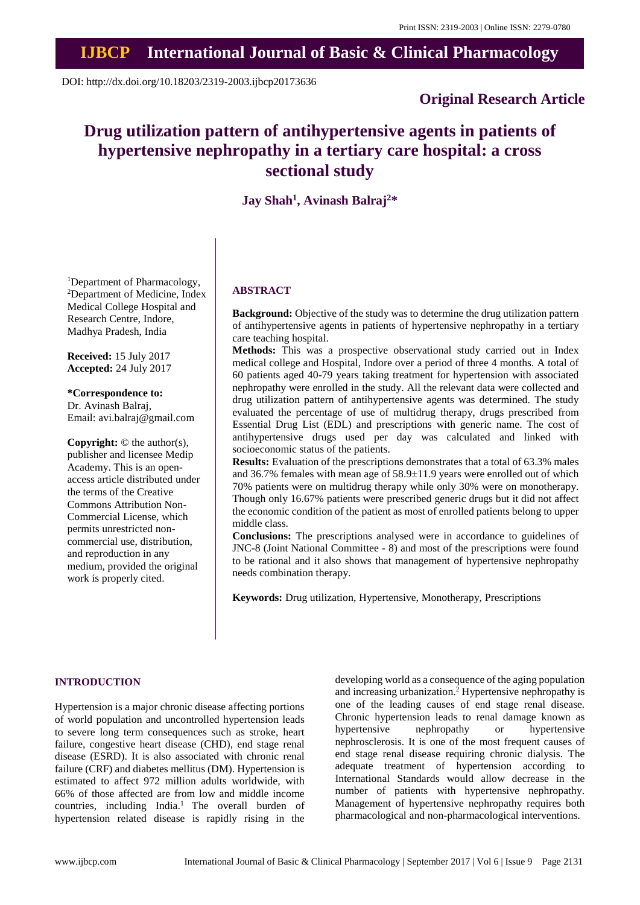# **IJBCP International Journal of Basic & Clinical Pharmacology**

DOI: http://dx.doi.org/10.18203/2319-2003.ijbcp20173636

# **Original Research Article**

# **Drug utilization pattern of antihypertensive agents in patients of hypertensive nephropathy in a tertiary care hospital: a cross sectional study**

**Jay Shah<sup>1</sup> , Avinash Balraj<sup>2</sup>\***

<sup>1</sup>Department of Pharmacology, <sup>2</sup>Department of Medicine, Index Medical College Hospital and Research Centre, Indore, Madhya Pradesh, India

**Received:** 15 July 2017 **Accepted:** 24 July 2017

# **\*Correspondence to:**

Dr. Avinash Balraj, Email: avi.balraj@gmail.com

**Copyright:** © the author(s), publisher and licensee Medip Academy. This is an openaccess article distributed under the terms of the Creative Commons Attribution Non-Commercial License, which permits unrestricted noncommercial use, distribution, and reproduction in any medium, provided the original work is properly cited.

# **ABSTRACT**

**Background:** Objective of the study was to determine the drug utilization pattern of antihypertensive agents in patients of hypertensive nephropathy in a tertiary care teaching hospital.

**Methods:** This was a prospective observational study carried out in Index medical college and Hospital, Indore over a period of three 4 months. A total of 60 patients aged 40-79 years taking treatment for hypertension with associated nephropathy were enrolled in the study. All the relevant data were collected and drug utilization pattern of antihypertensive agents was determined. The study evaluated the percentage of use of multidrug therapy, drugs prescribed from Essential Drug List (EDL) and prescriptions with generic name. The cost of antihypertensive drugs used per day was calculated and linked with socioeconomic status of the patients.

**Results:** Evaluation of the prescriptions demonstrates that a total of 63.3% males and 36.7% females with mean age of 58.9±11.9 years were enrolled out of which 70% patients were on multidrug therapy while only 30% were on monotherapy. Though only 16.67% patients were prescribed generic drugs but it did not affect the economic condition of the patient as most of enrolled patients belong to upper middle class.

**Conclusions:** The prescriptions analysed were in accordance to guidelines of JNC-8 (Joint National Committee - 8) and most of the prescriptions were found to be rational and it also shows that management of hypertensive nephropathy needs combination therapy.

**Keywords:** Drug utilization, Hypertensive, Monotherapy, Prescriptions

# **INTRODUCTION**

Hypertension is a major chronic disease affecting portions of world population and uncontrolled hypertension leads to severe long term consequences such as stroke, heart failure, congestive heart disease (CHD), end stage renal disease (ESRD). It is also associated with chronic renal failure (CRF) and diabetes mellitus (DM). Hypertension is estimated to affect 972 million adults worldwide, with 66% of those affected are from low and middle income countries, including India.<sup>1</sup> The overall burden of hypertension related disease is rapidly rising in the developing world as a consequence of the aging population and increasing urbanization.<sup>2</sup> Hypertensive nephropathy is one of the leading causes of end stage renal disease. Chronic hypertension leads to renal damage known as hypertensive nephropathy or hypertensive nephrosclerosis. It is one of the most frequent causes of end stage renal disease requiring chronic dialysis. The adequate treatment of hypertension according to International Standards would allow decrease in the number of patients with hypertensive nephropathy. Management of hypertensive nephropathy requires both pharmacological and non-pharmacological interventions.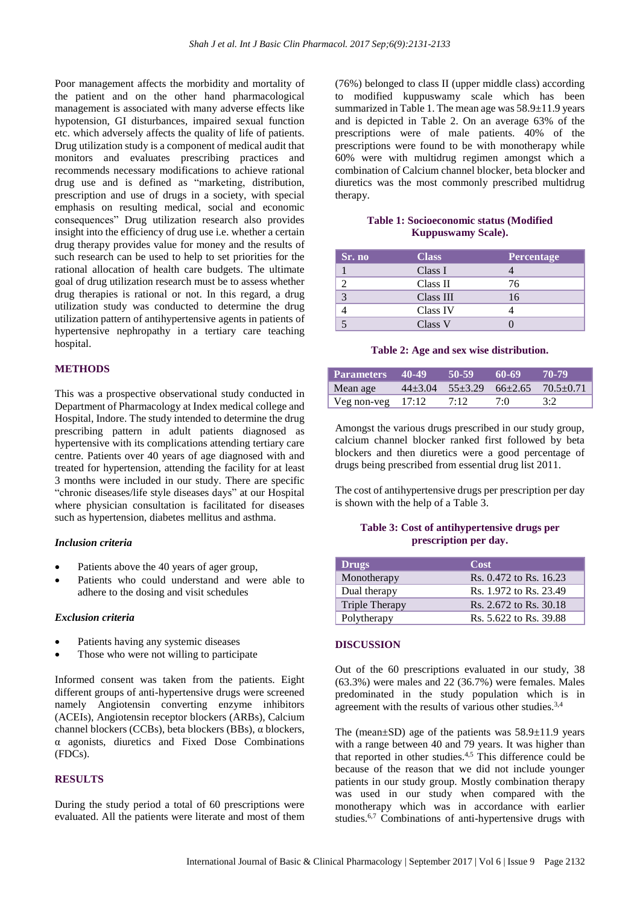Poor management affects the morbidity and mortality of the patient and on the other hand pharmacological management is associated with many adverse effects like hypotension, GI disturbances, impaired sexual function etc. which adversely affects the quality of life of patients. Drug utilization study is a component of medical audit that monitors and evaluates prescribing practices and recommends necessary modifications to achieve rational drug use and is defined as "marketing, distribution, prescription and use of drugs in a society, with special emphasis on resulting medical, social and economic consequences" Drug utilization research also provides insight into the efficiency of drug use i.e. whether a certain drug therapy provides value for money and the results of such research can be used to help to set priorities for the rational allocation of health care budgets. The ultimate goal of drug utilization research must be to assess whether drug therapies is rational or not. In this regard, a drug utilization study was conducted to determine the drug utilization pattern of antihypertensive agents in patients of hypertensive nephropathy in a tertiary care teaching hospital.

## **METHODS**

This was a prospective observational study conducted in Department of Pharmacology at Index medical college and Hospital, Indore. The study intended to determine the drug prescribing pattern in adult patients diagnosed as hypertensive with its complications attending tertiary care centre. Patients over 40 years of age diagnosed with and treated for hypertension, attending the facility for at least 3 months were included in our study. There are specific "chronic diseases/life style diseases days" at our Hospital where physician consultation is facilitated for diseases such as hypertension, diabetes mellitus and asthma.

#### *Inclusion criteria*

- Patients above the 40 years of ager group,
- Patients who could understand and were able to adhere to the dosing and visit schedules

#### *Exclusion criteria*

- Patients having any systemic diseases
- Those who were not willing to participate

Informed consent was taken from the patients. Eight different groups of anti-hypertensive drugs were screened namely Angiotensin converting enzyme inhibitors (ACEIs), Angiotensin receptor blockers (ARBs), Calcium channel blockers (CCBs), beta blockers (BBs), α blockers, α agonists, diuretics and Fixed Dose Combinations (FDCs).

# **RESULTS**

During the study period a total of 60 prescriptions were evaluated. All the patients were literate and most of them (76%) belonged to class II (upper middle class) according to modified kuppuswamy scale which has been summarized in Table 1. The mean age was 58.9±11.9 years and is depicted in Table 2. On an average 63% of the prescriptions were of male patients. 40% of the prescriptions were found to be with monotherapy while 60% were with multidrug regimen amongst which a combination of Calcium channel blocker, beta blocker and diuretics was the most commonly prescribed multidrug therapy.

## **Table 1: Socioeconomic status (Modified Kuppuswamy Scale).**

| Sr. no | <b>Class</b> | <b>Percentage</b> |
|--------|--------------|-------------------|
|        | Class I      |                   |
|        | Class II     | 76                |
|        | Class III    | 16                |
|        | Class IV     |                   |
|        | Class V      |                   |

#### **Table 2: Age and sex wise distribution.**

| Parameters 40-49    | 50-59 | 60-69 | 70-79                                     |
|---------------------|-------|-------|-------------------------------------------|
| Mean age            |       |       | $44+3.04$ $55+3.29$ $66+2.65$ $70.5+0.71$ |
| Veg non-veg $17:12$ | 7:12  | 7(0)  | 3.2                                       |

Amongst the various drugs prescribed in our study group, calcium channel blocker ranked first followed by beta blockers and then diuretics were a good percentage of drugs being prescribed from essential drug list 2011.

The cost of antihypertensive drugs per prescription per day is shown with the help of a Table 3.

# **Table 3: Cost of antihypertensive drugs per prescription per day.**

| <b>Drugs</b>          | Cost                   |
|-----------------------|------------------------|
| Monotherapy           | Rs. 0.472 to Rs. 16.23 |
| Dual therapy          | Rs. 1.972 to Rs. 23.49 |
| <b>Triple Therapy</b> | Rs. 2.672 to Rs. 30.18 |
| Polytherapy           | Rs. 5.622 to Rs. 39.88 |

#### **DISCUSSION**

Out of the 60 prescriptions evaluated in our study, 38 (63.3%) were males and 22 (36.7%) were females. Males predominated in the study population which is in agreement with the results of various other studies.<sup>3,4</sup>

The (mean $\pm$ SD) age of the patients was 58.9 $\pm$ 11.9 years with a range between 40 and 79 years. It was higher than that reported in other studies.4,5 This difference could be because of the reason that we did not include younger patients in our study group. Mostly combination therapy was used in our study when compared with the monotherapy which was in accordance with earlier studies.6,7 Combinations of anti-hypertensive drugs with